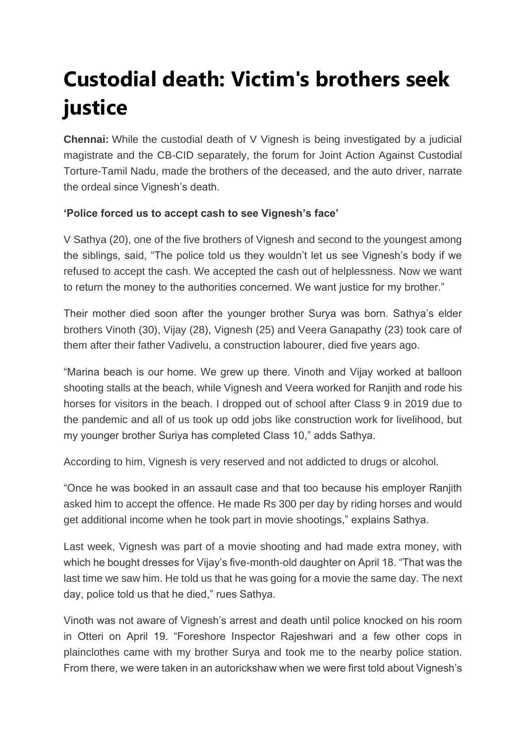## **Custodial death: Victim's brothers seek justice**

**Chennai:** While the custodial death of V Vignesh is being investigated by a judicial magistrate and the CB-CID separately, the forum for Joint Action Against Custodial Torture-Tamil Nadu, made the brothers of the deceased, and the auto driver, narrate the ordeal since Vignesh's death.

## **'Police forced us to accept cash to see Vignesh's face'**

V Sathya (20), one of the five brothers of Vignesh and second to the youngest among the siblings, said, "The police told us they wouldn't let us see Vignesh's body if we refused to accept the cash. We accepted the cash out of helplessness. Now we want to return the money to the authorities concerned. We want justice for my brother."

Their mother died soon after the younger brother Surya was born. Sathya's elder brothers Vinoth (30), Vijay (28), Vignesh (25) and Veera Ganapathy (23) took care of them after their father Vadivelu, a construction labourer, died five years ago.

"Marina beach is our home. We grew up there. Vinoth and Vijay worked at balloon shooting stalls at the beach, while Vignesh and Veera worked for Ranjith and rode his horses for visitors in the beach. I dropped out of school after Class 9 in 2019 due to the pandemic and all of us took up odd jobs like construction work for livelihood, but my younger brother Suriya has completed Class 10," adds Sathya.

According to him, Vignesh is very reserved and not addicted to drugs or alcohol.

"Once he was booked in an assault case and that too because his employer Ranjith asked him to accept the offence. He made Rs 300 per day by riding horses and would get additional income when he took part in movie shootings," explains Sathya.

Last week, Vignesh was part of a movie shooting and had made extra money, with which he bought dresses for Vijay's five-month-old daughter on April 18. "That was the last time we saw him. He told us that he was going for a movie the same day. The next day, police told us that he died," rues Sathya.

Vinoth was not aware of Vignesh's arrest and death until police knocked on his room in Otteri on April 19. "Foreshore Inspector Rajeshwari and a few other cops in plainclothes came with my brother Surya and took me to the nearby police station. From there, we were taken in an autorickshaw when we were first told about Vignesh's